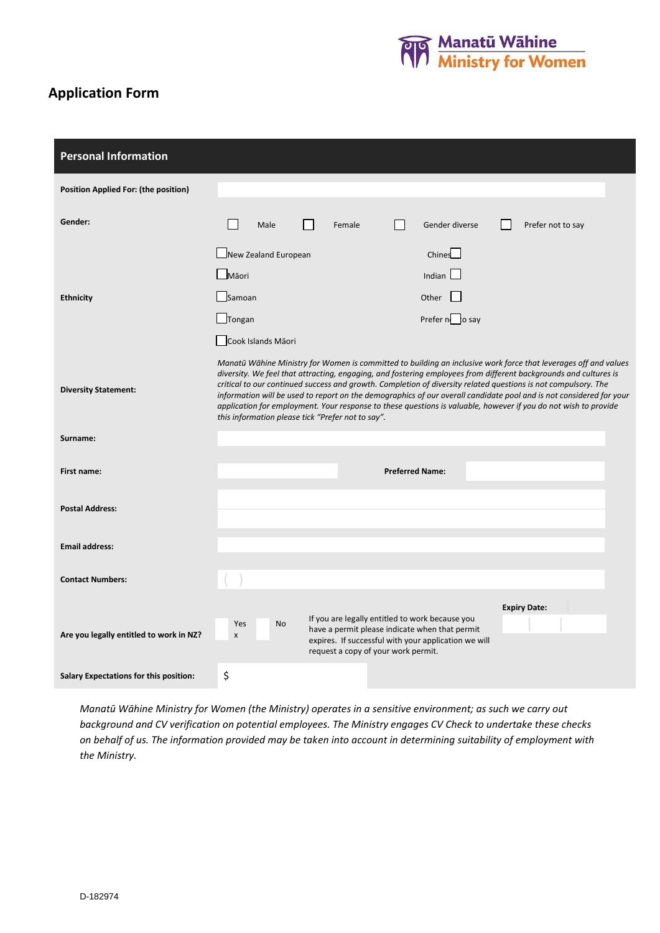

# **Application Form**

| <b>Personal Information</b>                   |                                                                                                                                                                                                                                                                                                                                                                                                                                                                                                                                                                                                                                                                            |
|-----------------------------------------------|----------------------------------------------------------------------------------------------------------------------------------------------------------------------------------------------------------------------------------------------------------------------------------------------------------------------------------------------------------------------------------------------------------------------------------------------------------------------------------------------------------------------------------------------------------------------------------------------------------------------------------------------------------------------------|
| <b>Position Applied For: (the position)</b>   |                                                                                                                                                                                                                                                                                                                                                                                                                                                                                                                                                                                                                                                                            |
| Gender:                                       | Male<br>Gender diverse<br>Prefer not to say<br>Female                                                                                                                                                                                                                                                                                                                                                                                                                                                                                                                                                                                                                      |
| <b>Ethnicity</b>                              | Chines<br>New Zealand European<br>$\Box$ Māori<br>Indian<br>Other<br>Samoan<br>Tongan<br>Prefer no to say                                                                                                                                                                                                                                                                                                                                                                                                                                                                                                                                                                  |
| <b>Diversity Statement:</b>                   | Cook Islands Māori<br>Manatū Wāhine Ministry for Women is committed to building an inclusive work force that leverages off and values<br>diversity. We feel that attracting, engaging, and fostering employees from different backgrounds and cultures is<br>critical to our continued success and growth. Completion of diversity related questions is not compulsory. The<br>information will be used to report on the demographics of our overall candidate pool and is not considered for your<br>application for employment. Your response to these questions is valuable, however if you do not wish to provide<br>this information please tick "Prefer not to say". |
| Surname:                                      |                                                                                                                                                                                                                                                                                                                                                                                                                                                                                                                                                                                                                                                                            |
| First name:                                   | <b>Preferred Name:</b>                                                                                                                                                                                                                                                                                                                                                                                                                                                                                                                                                                                                                                                     |
| <b>Postal Address:</b>                        |                                                                                                                                                                                                                                                                                                                                                                                                                                                                                                                                                                                                                                                                            |
| <b>Email address:</b>                         |                                                                                                                                                                                                                                                                                                                                                                                                                                                                                                                                                                                                                                                                            |
| <b>Contact Numbers:</b>                       |                                                                                                                                                                                                                                                                                                                                                                                                                                                                                                                                                                                                                                                                            |
| Are you legally entitled to work in NZ?       | <b>Expiry Date:</b><br>If you are legally entitled to work because you<br>Yes<br>No<br>have a permit please indicate when that permit<br>x<br>expires. If successful with your application we will<br>request a copy of your work permit.                                                                                                                                                                                                                                                                                                                                                                                                                                  |
| <b>Salary Expectations for this position:</b> | \$                                                                                                                                                                                                                                                                                                                                                                                                                                                                                                                                                                                                                                                                         |

*Manatū Wāhine Ministry for Women (the Ministry) operates in a sensitive environment; as such we carry out background and CV verification on potential employees. The Ministry engages CV Check to undertake these checks on behalf of us. The information provided may be taken into account in determining suitability of employment with the Ministry.*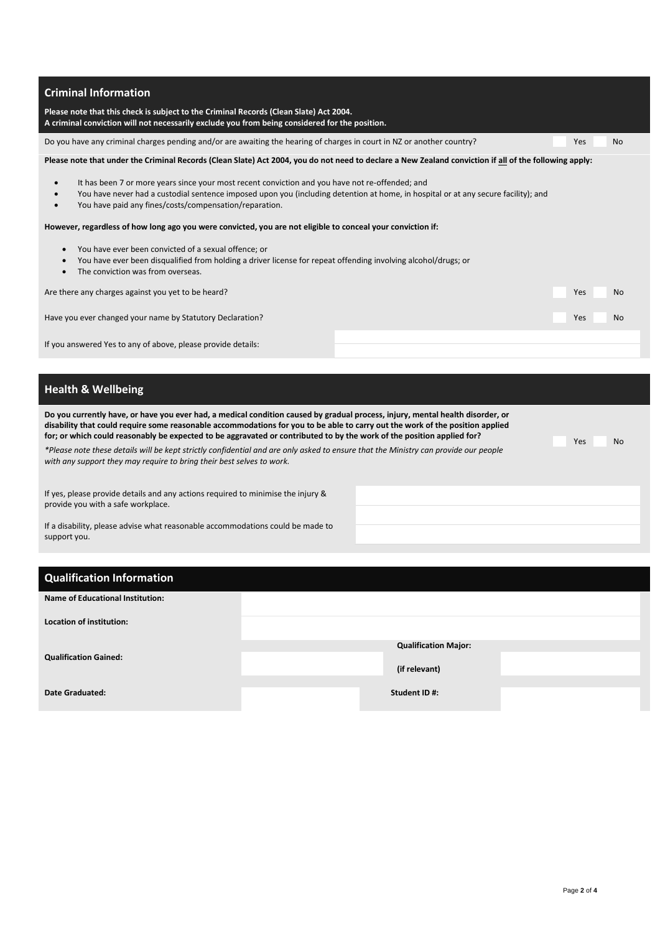| <b>Criminal Information</b>                                                                                                                                                                                                                                                                                  |            |           |
|--------------------------------------------------------------------------------------------------------------------------------------------------------------------------------------------------------------------------------------------------------------------------------------------------------------|------------|-----------|
| Please note that this check is subject to the Criminal Records (Clean Slate) Act 2004.<br>A criminal conviction will not necessarily exclude you from being considered for the position.                                                                                                                     |            |           |
| Do you have any criminal charges pending and/or are awaiting the hearing of charges in court in NZ or another country?                                                                                                                                                                                       | Yes        | <b>No</b> |
| Please note that under the Criminal Records (Clean Slate) Act 2004, you do not need to declare a New Zealand conviction if all of the following apply:                                                                                                                                                       |            |           |
| It has been 7 or more years since your most recent conviction and you have not re-offended; and<br>You have never had a custodial sentence imposed upon you (including detention at home, in hospital or at any secure facility); and<br>You have paid any fines/costs/compensation/reparation.<br>$\bullet$ |            |           |
| However, regardless of how long ago you were convicted, you are not eligible to conceal your conviction if:                                                                                                                                                                                                  |            |           |
| You have ever been convicted of a sexual offence; or<br>You have ever been disqualified from holding a driver license for repeat offending involving alcohol/drugs; or<br>The conviction was from overseas.                                                                                                  |            |           |
| Are there any charges against you yet to be heard?                                                                                                                                                                                                                                                           | Yes        | <b>No</b> |
| Have you ever changed your name by Statutory Declaration?                                                                                                                                                                                                                                                    | <b>Yes</b> | <b>No</b> |
| If you answered Yes to any of above, please provide details:                                                                                                                                                                                                                                                 |            |           |

## **Health & Wellbeing**

| Do you currently have, or have you ever had, a medical condition caused by gradual process, injury, mental health disorder, or<br>disability that could require some reasonable accommodations for you to be able to carry out the work of the position applied<br>for; or which could reasonably be expected to be aggravated or contributed to by the work of the position applied for?<br>Yes |  |  | <b>No</b> |
|--------------------------------------------------------------------------------------------------------------------------------------------------------------------------------------------------------------------------------------------------------------------------------------------------------------------------------------------------------------------------------------------------|--|--|-----------|
| *Please note these details will be kept strictly confidential and are only asked to ensure that the Ministry can provide our people<br>with any support they may require to bring their best selves to work.                                                                                                                                                                                     |  |  |           |
| If yes, please provide details and any actions required to minimise the injury &<br>provide you with a safe workplace.                                                                                                                                                                                                                                                                           |  |  |           |

If a disability, please advise what reasonable accommodations could be made to support you.

| <b>Qualification Information</b>        |                             |  |
|-----------------------------------------|-----------------------------|--|
| <b>Name of Educational Institution:</b> |                             |  |
| Location of institution:                |                             |  |
| <b>Qualification Gained:</b>            | <b>Qualification Major:</b> |  |
|                                         | (if relevant)               |  |
| <b>Date Graduated:</b>                  | Student ID#:                |  |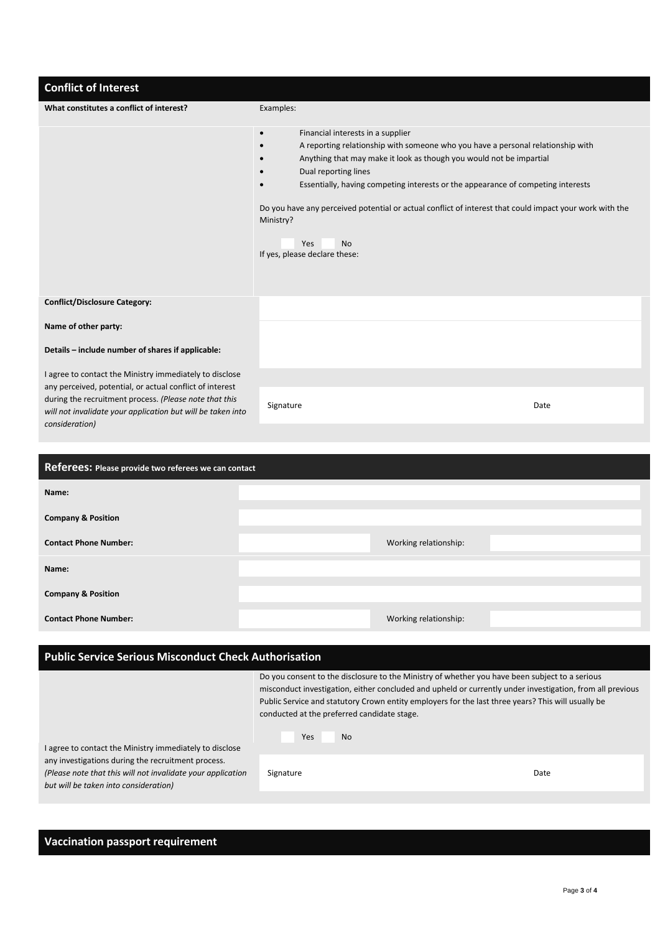| <b>Conflict of Interest</b>                                                                                                             |                                                                                                                                                                                                                                                                                                                                                                                                                                                                                                                       |
|-----------------------------------------------------------------------------------------------------------------------------------------|-----------------------------------------------------------------------------------------------------------------------------------------------------------------------------------------------------------------------------------------------------------------------------------------------------------------------------------------------------------------------------------------------------------------------------------------------------------------------------------------------------------------------|
| What constitutes a conflict of interest?                                                                                                | Examples:                                                                                                                                                                                                                                                                                                                                                                                                                                                                                                             |
|                                                                                                                                         | Financial interests in a supplier<br>$\bullet$<br>A reporting relationship with someone who you have a personal relationship with<br>$\bullet$<br>Anything that may make it look as though you would not be impartial<br>Dual reporting lines<br>Essentially, having competing interests or the appearance of competing interests<br>Do you have any perceived potential or actual conflict of interest that could impact your work with the<br>Ministry?<br><b>Yes</b><br><b>No</b><br>If yes, please declare these: |
| <b>Conflict/Disclosure Category:</b>                                                                                                    |                                                                                                                                                                                                                                                                                                                                                                                                                                                                                                                       |
| Name of other party:                                                                                                                    |                                                                                                                                                                                                                                                                                                                                                                                                                                                                                                                       |
| Details - include number of shares if applicable:                                                                                       |                                                                                                                                                                                                                                                                                                                                                                                                                                                                                                                       |
| I agree to contact the Ministry immediately to disclose<br>any perceived, potential, or actual conflict of interest                     |                                                                                                                                                                                                                                                                                                                                                                                                                                                                                                                       |
| during the recruitment process. (Please note that this<br>will not invalidate your application but will be taken into<br>consideration) | Signature<br>Date                                                                                                                                                                                                                                                                                                                                                                                                                                                                                                     |
|                                                                                                                                         |                                                                                                                                                                                                                                                                                                                                                                                                                                                                                                                       |
| Referees: Please provide two referees we can contact                                                                                    |                                                                                                                                                                                                                                                                                                                                                                                                                                                                                                                       |
| Name:                                                                                                                                   |                                                                                                                                                                                                                                                                                                                                                                                                                                                                                                                       |

| Name:                         |                       |  |
|-------------------------------|-----------------------|--|
| <b>Company &amp; Position</b> |                       |  |
| <b>Contact Phone Number:</b>  | Working relationship: |  |
| Name:                         |                       |  |
| <b>Company &amp; Position</b> |                       |  |
| <b>Contact Phone Number:</b>  | Working relationship: |  |

#### **Public Service Serious Misconduct Check Authorisation**

Do you consent to the disclosure to the Ministry of whether you have been subject to a serious misconduct investigation, either concluded and upheld or currently under investigation, from all previous Public Service and statutory Crown entity employers for the last three years? This will usually be conducted at the preferred candidate stage.

| I agree to contact the Ministry immediately to disclose                                              | Yes<br><b>No</b> |      |
|------------------------------------------------------------------------------------------------------|------------------|------|
| any investigations during the recruitment process.                                                   |                  |      |
| (Please note that this will not invalidate your application<br>but will be taken into consideration) | Signature        | Date |

### **Vaccination passport requirement**